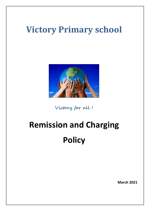# **Victory Primary school**



**Victory for all !**

# **Remission and Charging Policy**

**March 2021**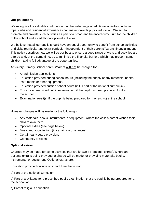# **Our philosophy**

We recognise the valuable contribution that the wide range of additional activities, including trips, clubs and residential experiences can make towards pupils' education. We aim to promote and provide such activities as part of a broad and balanced curriculum for the children of the school and as additional optional activities.

We believe that all our pupils should have an equal opportunity to benefit from school activities and visits (curricular and extra-curricular) independent of their parents'/carers' financial means. This policy describes how we will do our best to ensure a good range of visits and activities are offered and, at the same time, try to minimise the financial barriers which may prevent some children taking full advantage of the opportunities.

At Victory Primary School parents/carers **will not** be charged for :-

- An admission applications.
- Education provided during school hours (including the supply of any materials, books, instruments or other equipment).
- Education provided outside school hours (if it is part of the national curriculum).
- Entry for a prescribed public examination, if the pupil has been prepared for it at the school.
- Examination re-sit(s) if the pupil is being prepared for the re-sit(s) at the school.

However charges **will be** made for the following:-

- Any materials, books, instruments, or equipment, where the child's parent wishes their child to own them.
- Optional extras (see page below).
- Music and vocal tuition, (in certain circumstances).
- Certain early years provision.
- Community facilities.

#### **Optional extras**

Charges may be made for some activities that are known as 'optional extras'. Where an optional extra is being provided, a charge will be made for providing materials, books, instruments, or equipment. Optional extras are:-

Education provided outside of school time that is not:-

a) Part of the national curriculum;

b) Part of a syllabus for a prescribed public examination that the pupil is being prepared for at the school; or

c) Part of religious education.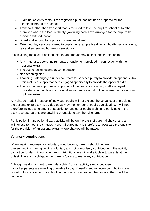- Examination entry fee(s) if the registered pupil has not been prepared for the examination(s) at the school;
- Transport (other than transport that is required to take the pupil to school or to other premises where the local authority/governing body have arranged for the pupil to be provided with education);
- Board and lodging for a pupil on a residential visit.
- Extended day services offered to pupils (for example breakfast club, after-school. clubs, tea and supervised homework sessions).

In calculating the cost of optional extras, an amount may be included in relation to:

- Any materials, books, instruments, or equipment provided in connection with the optional extra.
- The cost of buildings and accommodation.
- Non-teaching staff.
- Teaching staff engaged under contracts for services purely to provide an optional extra, this includes supply teachers engaged specifically to provide the optional extra.
- The cost, or an appropriate proportion of the costs, for teaching staff employed to provide tuition in playing a musical instrument, or vocal tuition, where the tuition is an optional extra.

Any charge made in respect of individual pupils will not exceed the actual cost of providing the optional extra activity, divided equally by the number of pupils participating. It will not therefore include an element of subsidy, for any other pupils wishing to participate in the activity whose parents are unwilling or unable to pay the full charge.

Participation in any optional extra activity will be on the basis of parental choice, and a willingness to meet the charges. Parental agreement is therefore a necessary prerequisite for the provision of an optional extra, where charges will be made.

# **Voluntary contributions**

When making requests for voluntary contributions, parents should not feel pressurised into paying, as it is voluntary and not compulsory contribution. If the activity cannot be funded without voluntary contributions, we will make it clear to parents at the outset. There is no obligation for parents/carers to make any contribution.

Although we do not want to exclude a child from an activity simply because his or her parents are unwilling or unable to pay, if insufficient voluntary contributions are raised to fund a visit, or our school cannot fund it from some other source, then it will be cancelled.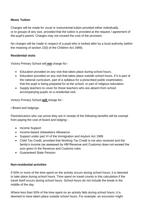# **Music Tuition**

Charges will be made for vocal or instrumental tuition provided either individually, or to groups of any size, provided that the tuition is provided at the request / agreement of the pupil's parent. Charges may not exceed the cost of the provision.

No charges will be made in respect of a pupil who is looked after by a local authority (within the meaning of section 22(l) of the Children Act 1989).

#### **Residential visits**

Victory Primary School will **not** charge for:-

- Education provided on any visit that takes place during school hours.
- Education provided on any visit that takes place outside school hours, if it is part of the national curriculum, part of a syllabus for a prescribed public examination, that the pupil is being prepared for at the school, or part of religious education.
- Supply teachers to cover for those teachers who are absent from school accompanying pupils on a residential visit.

Victory Primary School **will** charge for:-

• Board and lodgings.

Parents/carers who can prove they are in receipt of the following benefits will be exempt from paying the cost of board and lodging:-

- Income Support
- Income-based Jobseekers Allowance
- Support under part VI of the Immigration and Asylum Act 1999
- Child Tax Credit, provided that Working Tax Credit is not also received and the family's income (as assessed by HM Revenue and Customs) does not exceed the sum given in the Revenue and Customs rules
- Guaranteed State Pension

#### **Non-residential activities**

If 50% or more of the time spent on the activity occurs during school hours, it is deemed to take place during school hours. Time spent on travel counts in this calculation if the travel itself occurs during school hours. School hours do not include the break in the middle of the day.

Where less than 50% of the time spent on an activity falls during school hours, it is deemed to have taken place outside school hours. For example, an excursion might